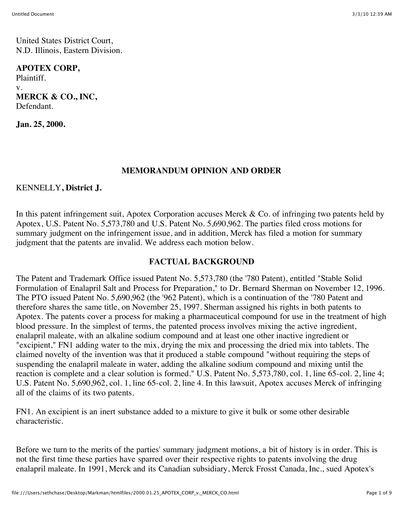United States District Court, N.D. Illinois, Eastern Division.

#### **APOTEX CORP,**

Plaintiff. v. **MERCK & CO., INC,** Defendant.

**Jan. 25, 2000.**

### **MEMORANDUM OPINION AND ORDER**

### KENNELLY**, District J.**

In this patent infringement suit, Apotex Corporation accuses Merck & Co. of infringing two patents held by Apotex, U.S. Patent No. 5,573,780 and U.S. Patent No. 5,690,962. The parties filed cross motions for summary judgment on the infringement issue, and in addition, Merck has filed a motion for summary judgment that the patents are invalid. We address each motion below.

## **FACTUAL BACKGROUND**

The Patent and Trademark Office issued Patent No. 5,573,780 (the '780 Patent), entitled "Stable Solid Formulation of Enalapril Salt and Process for Preparation," to Dr. Bernard Sherman on November 12, 1996. The PTO issued Patent No. 5,690,962 (the '962 Patent), which is a continuation of the '780 Patent and therefore shares the same title, on November 25, 1997. Sherman assigned his rights in both patents to Apotex. The patents cover a process for making a pharmaceutical compound for use in the treatment of high blood pressure. In the simplest of terms, the patented process involves mixing the active ingredient, enalapril maleate, with an alkaline sodium compound and at least one other inactive ingredient or "excipient," FN1 adding water to the mix, drying the mix and processing the dried mix into tablets. The claimed novelty of the invention was that it produced a stable compound "without requiring the steps of suspending the enalapril maleate in water, adding the alkaline sodium compound and mixing until the reaction is complete and a clear solution is formed." U.S. Patent No. 5,573,780, col. 1, line 65-col. 2, line 4; U.S. Patent No. 5,690,962, col. 1, line 65-col. 2, line 4. In this lawsuit, Apotex accuses Merck of infringing all of the claims of its two patents.

FN1. An excipient is an inert substance added to a mixture to give it bulk or some other desirable characteristic.

Before we turn to the merits of the parties' summary judgment motions, a bit of history is in order. This is not the first time these parties have sparred over their respective rights to patents involving the drug enalapril maleate. In 1991, Merck and its Canadian subsidiary, Merck Frosst Canada, Inc., sued Apotex's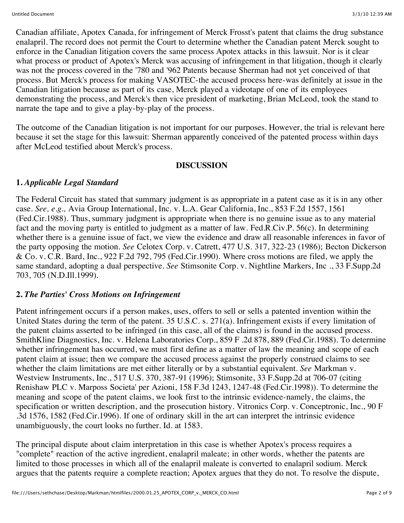Canadian affiliate, Apotex Canada, for infringement of Merck Frosst's patent that claims the drug substance enalapril. The record does not permit the Court to determine whether the Canadian patent Merck sought to enforce in the Canadian litigation covers the same process Apotex attacks in this lawsuit. Nor is it clear what process or product of Apotex's Merck was accusing of infringement in that litigation, though it clearly was not the process covered in the '780 and '962 Patents because Sherman had not yet conceived of that process. But Merck's process for making VASOTEC-the accused process here-was definitely at issue in the Canadian litigation because as part of its case, Merck played a videotape of one of its employees demonstrating the process, and Merck's then vice president of marketing, Brian McLeod, took the stand to narrate the tape and to give a play-by-play of the process.

The outcome of the Canadian litigation is not important for our purposes. However, the trial is relevant here because it set the stage for this lawsuit: Sherman apparently conceived of the patented process within days after McLeod testified about Merck's process.

#### **DISCUSSION**

## **1.** *Applicable Legal Standard*

The Federal Circuit has stated that summary judgment is as appropriate in a patent case as it is in any other case. *See, e.g.,* Avia Group International, Inc. v. L.A. Gear California, Inc., 853 F.2d 1557, 1561 (Fed.Cir.1988). Thus, summary judgment is appropriate when there is no genuine issue as to any material fact and the moving party is entitled to judgment as a matter of law. Fed.R.Civ.P. 56(c). In determining whether there is a genuine issue of fact, we view the evidence and draw all reasonable inferences in favor of the party opposing the motion. *See* Celotex Corp. v. Catrett, 477 U.S. 317, 322-23 (1986); Becton Dickerson & Co. v. C.R. Bard, Inc., 922 F.2d 792, 795 (Fed.Cir.1990). Where cross motions are filed, we apply the same standard, adopting a dual perspective. *See* Stimsonite Corp. v. Nightline Markers, Inc ., 33 F.Supp.2d 703, 705 (N.D.Ill.1999).

# **2.** *The Parties' Cross Motions on Infringement*

Patent infringement occurs if a person makes, uses, offers to sell or sells a patented invention within the United States during the term of the patent. 35 U.S.C. s. 271(a). Infringement exists if every limitation of the patent claims asserted to be infringed (in this case, all of the claims) is found in the accused process. SmithKline Diagnostics, Inc. v. Helena Laboratories Corp., 859 F .2d 878, 889 (Fed.Cir.1988). To determine whether infringement has occurred, we must first define as a matter of law the meaning and scope of each patent claim at issue; then we compare the accused process against the properly construed claims to see whether the claim limitations are met either literally or by a substantial equivalent. *See* Markman v. Westview Instruments, Inc., 517 U.S. 370, 387-91 (1996); Stimsonite, 33 F.Supp.2d at 706-07 (citing Renishaw PLC v. Marposs Societa' per Azioni, 158 F.3d 1243, 1247-48 (Fed.Cir.1998)). To determine the meaning and scope of the patent claims, we look first to the intrinsic evidence-namely, the claims, the specification or written description, and the prosecution history. Vitronics Corp. v. Conceptronic, Inc., 90 F .3d 1576, 1582 (Fed.Cir.1996). If one of ordinary skill in the art can interpret the intrinsic evidence unambiguously, the court looks no further. Id. at 1583.

The principal dispute about claim interpretation in this case is whether Apotex's process requires a "complete" reaction of the active ingredient, enalapril maleate; in other words, whether the patents are limited to those processes in which all of the enalapril maleate is converted to enalapril sodium. Merck argues that the patents require a complete reaction; Apotex argues that they do not. To resolve the dispute,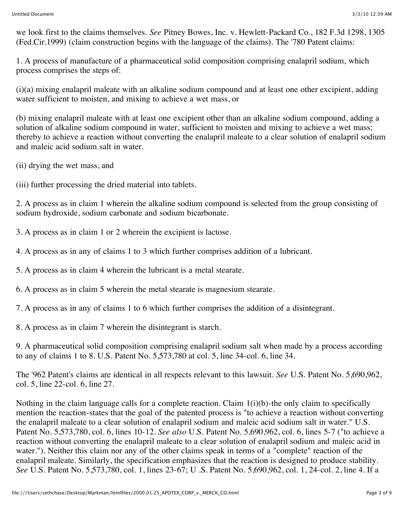we look first to the claims themselves. *See* Pitney Bowes, Inc. v. Hewlett-Packard Co., 182 F.3d 1298, 1305 (Fed.Cir.1999) (claim construction begins with the language of the claims). The '780 Patent claims:

1. A process of manufacture of a pharmaceutical solid composition comprising enalapril sodium, which process comprises the steps of:

(i)(a) mixing enalapril maleate with an alkaline sodium compound and at least one other excipient, adding water sufficient to moisten, and mixing to achieve a wet mass, or

(b) mixing enalapril maleate with at least one excipient other than an alkaline sodium compound, adding a solution of alkaline sodium compound in water, sufficient to moisten and mixing to achieve a wet mass; thereby to achieve a reaction without converting the enalapril maleate to a clear solution of enalapril sodium and maleic acid sodium salt in water.

(ii) drying the wet mass, and

(iii) further processing the dried material into tablets.

2. A process as in claim 1 wherein the alkaline sodium compound is selected from the group consisting of sodium hydroxide, sodium carbonate and sodium bicarbonate.

3. A process as in claim 1 or 2 wherein the excipient is lactose.

4. A process as in any of claims 1 to 3 which further comprises addition of a lubricant.

5. A process as in claim 4 wherein the lubricant is a metal stearate.

6. A process as in claim 5 wherein the metal stearate is magnesium stearate.

7. A process as in any of claims 1 to 6 which further comprises the addition of a disintegrant.

8. A process as in claim 7 wherein the disintegrant is starch.

9. A pharmaceutical solid composition comprising enalapril sodium salt when made by a process according to any of claims 1 to 8. U.S. Patent No. 5,573,780 at col. 5, line 34-col. 6, line 34.

The '962 Patent's claims are identical in all respects relevant to this lawsuit. *See* U.S. Patent No. 5,690,962, col. 5, line 22-col. 6, line 27.

Nothing in the claim language calls for a complete reaction. Claim 1(i)(b)-the only claim to specifically mention the reaction-states that the goal of the patented process is "to achieve a reaction without converting the enalapril maleate to a clear solution of enalapril sodium and maleic acid sodium salt in water." U.S. Patent No. 5,573,780, col. 6, lines 10-12. *See also* U.S. Patent No. 5,690,962, col. 6, lines 5-7 ("to achieve a reaction without converting the enalapril maleate to a clear solution of enalapril sodium and maleic acid in water."). Neither this claim nor any of the other claims speak in terms of a "complete" reaction of the enalapril maleate. Similarly, the specification emphasizes that the reaction is designed to produce stability. *See* U.S. Patent No. 5,573,780, col. 1, lines 23-67; U .S. Patent No. 5,690,962, col. 1, 24-col. 2, line 4. If a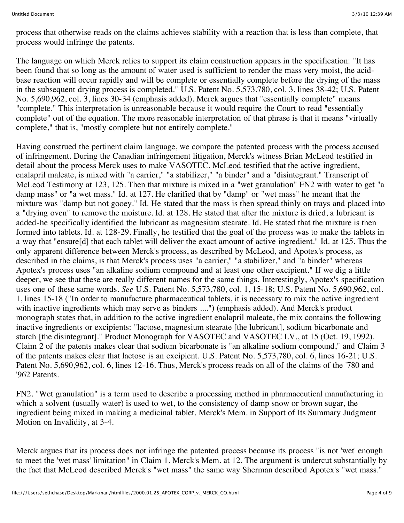process that otherwise reads on the claims achieves stability with a reaction that is less than complete, that process would infringe the patents.

The language on which Merck relies to support its claim construction appears in the specification: "It has been found that so long as the amount of water used is sufficient to render the mass very moist, the acidbase reaction will occur rapidly and will be complete or essentially complete before the drying of the mass in the subsequent drying process is completed." U.S. Patent No. 5,573,780, col. 3, lines 38-42; U.S. Patent No. 5,690,962, col. 3, lines 30-34 (emphasis added). Merck argues that "essentially complete" means "complete." This interpretation is unreasonable because it would require the Court to read "essentially complete" out of the equation. The more reasonable interpretation of that phrase is that it means "virtually complete," that is, "mostly complete but not entirely complete."

Having construed the pertinent claim language, we compare the patented process with the process accused of infringement. During the Canadian infringement litigation, Merck's witness Brian McLeod testified in detail about the process Merck uses to make VASOTEC. McLeod testified that the active ingredient, enalapril maleate, is mixed with "a carrier," "a stabilizer," "a binder" and a "disintegrant." Transcript of McLeod Testimony at 123, 125. Then that mixture is mixed in a "wet granulation" FN2 with water to get "a damp mass" or "a wet mass." Id. at 127. He clarified that by "damp" or "wet mass" he meant that the mixture was "damp but not gooey." Id. He stated that the mass is then spread thinly on trays and placed into a "drying oven" to remove the moisture. Id. at 128. He stated that after the mixture is dried, a lubricant is added-he specifically identified the lubricant as magnesium stearate. Id. He stated that the mixture is then formed into tablets. Id. at 128-29. Finally, he testified that the goal of the process was to make the tablets in a way that "ensure[d] that each tablet will deliver the exact amount of active ingredient." Id. at 125. Thus the only apparent difference between Merck's process, as described by McLeod, and Apotex's process, as described in the claims, is that Merck's process uses "a carrier," "a stabilizer," and "a binder" whereas Apotex's process uses "an alkaline sodium compound and at least one other excipient." If we dig a little deeper, we see that these are really different names for the same things. Interestingly, Apotex's specification uses one of these same words. *See* U.S. Patent No. 5,573,780, col. 1, 15-18; U.S. Patent No. 5,690,962, col. 1, lines 15-18 ("In order to manufacture pharmaceutical tablets, it is necessary to mix the active ingredient with inactive ingredients which may serve as binders ....") (emphasis added). And Merck's product monograph states that, in addition to the active ingredient enalapril maleate, the mix contains the following inactive ingredients or excipients: "lactose, magnesium stearate [the lubricant], sodium bicarbonate and starch [the disintegrant]." Product Monograph for VASOTEC and VASOTEC I.V., at 15 (Oct. 19, 1992). Claim 2 of the patents makes clear that sodium bicarbonate is "an alkaline sodium compound," and Claim 3 of the patents makes clear that lactose is an excipient. U.S. Patent No. 5,573,780, col. 6, lines 16-21; U.S. Patent No. 5,690,962, col. 6, lines 12-16. Thus, Merck's process reads on all of the claims of the '780 and '962 Patents.

FN2. "Wet granulation" is a term used to describe a processing method in pharmaceutical manufacturing in which a solvent (usually water) is used to wet, to the consistency of damp snow or brown sugar, the ingredient being mixed in making a medicinal tablet. Merck's Mem. in Support of Its Summary Judgment Motion on Invalidity, at 3-4.

Merck argues that its process does not infringe the patented process because its process "is not 'wet' enough to meet the 'wet mass' limitation" in Claim 1. Merck's Mem. at 12. The argument is undercut substantially by the fact that McLeod described Merck's "wet mass" the same way Sherman described Apotex's "wet mass."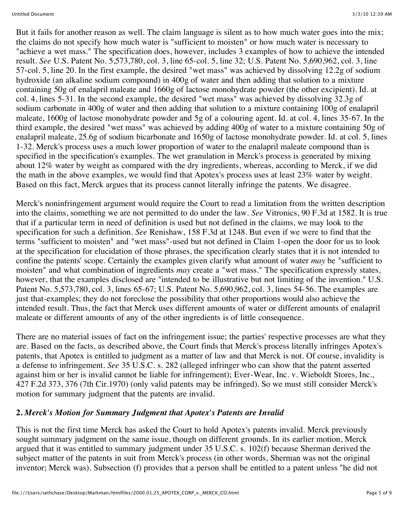But it fails for another reason as well. The claim language is silent as to how much water goes into the mix; the claims do not specify how much water is "sufficient to moisten" or how much water is necessary to "achieve a wet mass." The specification does, however, includes 3 examples of how to achieve the intended result. *See* U.S. Patent No. 5,573,780, col. 3, line 65-col. 5, line 32; U.S. Patent No. 5,690,962, col. 3, line 57-col. 5, line 20. In the first example, the desired "wet mass" was achieved by dissolving 12.2g of sodium hydroxide (an alkaline sodium compound) in 400g of water and then adding that solution to a mixture containing 50g of enalapril maleate and 1660g of lactose monohydrate powder (the other excipient). Id. at col. 4, lines 5-31. In the second example, the desired "wet mass" was achieved by dissolving 32.3g of sodium carbonate in 400g of water and then adding that solution to a mixture containing 100g of enalapril maleate, 1600g of lactose monohydrate powder and 5g of a colouring agent. Id. at col. 4, lines 35-67. In the third example, the desired "wet mass" was achieved by adding 400g of water to a mixture containing 50g of enalapril maleate, 25.6g of sodium bicarbonate and 1650g of lactose monohydrate powder. Id. at col. 5, lines 1-32. Merck's process uses a much lower proportion of water to the enalapril maleate compound than is specified in the specification's examples. The wet granulation in Merck's process is generated by mixing about 12% water by weight as compared with the dry ingredients, whereas, according to Merck, if we did the math in the above examples, we would find that Apotex's process uses at least 23% water by weight. Based on this fact, Merck argues that its process cannot literally infringe the patents. We disagree.

Merck's noninfringement argument would require the Court to read a limitation from the written description into the claims, something we are not permitted to do under the law. *See* Vitronics, 90 F.3d at 1582. It is true that if a particular term in need of definition is used but not defined in the claims, we may look to the specification for such a definition. *See* Renishaw, 158 F.3d at 1248. But even if we were to find that the terms "sufficient to moisten" and "wet mass"-used but not defined in Claim 1-open the door for us to look at the specification for elucidation of those phrases, the specification clearly states that it is not intended to confine the patents' scope. Certainly the examples given clarify what amount of water *may* be "sufficient to moisten" and what combination of ingredients *may* create a "wet mass." The specification expressly states, however, that the examples disclosed are "intended to be illustrative but not limiting of the invention." U.S. Patent No. 5,573,780, col. 3, lines 65-67; U.S. Patent No. 5,690,962, col. 3, lines 54-56. The examples are just that-examples; they do not foreclose the possibility that other proportions would also achieve the intended result. Thus, the fact that Merck uses different amounts of water or different amounts of enalapril maleate or different amounts of any of the other ingredients is of little consequence.

There are no material issues of fact on the infringement issue; the parties' respective processes are what they are. Based on the facts, as described above, the Court finds that Merck's process literally infringes Apotex's patents, that Apotex is entitled to judgment as a matter of law and that Merck is not. Of course, invalidity is a defense to infringement. *See* 35 U.S.C. s. 282 (alleged infringer who can show that the patent asserted against him or her is invalid cannot be liable for infringement); Ever-Wear, Inc. v. Wieboldt Stores, Inc., 427 F.2d 373, 376 (7th Cir.1970) (only valid patents may be infringed). So we must still consider Merck's motion for summary judgment that the patents are invalid.

## **2.** *Merck's Motion for Summary Judgment that Apotex's Patents are Invalid*

This is not the first time Merck has asked the Court to hold Apotex's patents invalid. Merck previously sought summary judgment on the same issue, though on different grounds. In its earlier motion, Merck argued that it was entitled to summary judgment under 35 U.S.C. s. 102(f) because Sherman derived the subject matter of the patents in suit from Merck's process (in other words, Sherman was not the original inventor; Merck was). Subsection (f) provides that a person shall be entitled to a patent unless "he did not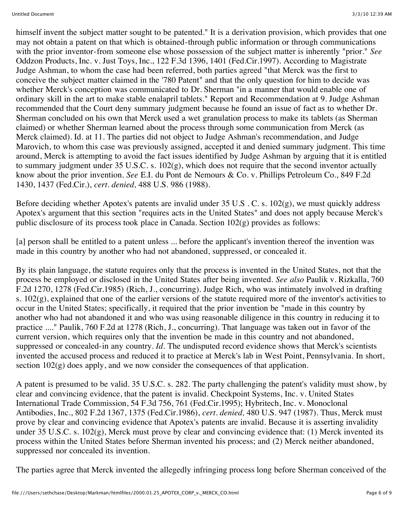himself invent the subject matter sought to be patented." It is a derivation provision, which provides that one may not obtain a patent on that which is obtained-through public information or through communications with the prior inventor-from someone else whose possession of the subject matter is inherently "prior." *See* Oddzon Products, Inc. v. Just Toys, Inc., 122 F.3d 1396, 1401 (Fed.Cir.1997). According to Magistrate Judge Ashman, to whom the case had been referred, both parties agreed "that Merck was the first to conceive the subject matter claimed in the '780 Patent" and that the only question for him to decide was whether Merck's conception was communicated to Dr. Sherman "in a manner that would enable one of ordinary skill in the art to make stable enalapril tablets." Report and Recommendation at 9. Judge Ashman recommended that the Court deny summary judgment because he found an issue of fact as to whether Dr. Sherman concluded on his own that Merck used a wet granulation process to make its tablets (as Sherman claimed) or whether Sherman learned about the process through some communication from Merck (as Merck claimed). Id. at 11. The parties did not object to Judge Ashman's recommendation, and Judge Marovich, to whom this case was previously assigned, accepted it and denied summary judgment. This time around, Merck is attempting to avoid the fact issues identified by Judge Ashman by arguing that it is entitled to summary judgment under 35 U.S.C. s. 102(g), which does not require that the second inventor actually know about the prior invention. *See* E.I. du Pont de Nemours & Co. v. Phillips Petroleum Co., 849 F.2d 1430, 1437 (Fed.Cir.), *cert. denied,* 488 U.S. 986 (1988).

Before deciding whether Apotex's patents are invalid under 35 U.S . C. s. 102(g), we must quickly address Apotex's argument that this section "requires acts in the United States" and does not apply because Merck's public disclosure of its process took place in Canada. Section 102(g) provides as follows:

[a] person shall be entitled to a patent unless ... before the applicant's invention thereof the invention was made in this country by another who had not abandoned, suppressed, or concealed it.

By its plain language, the statute requires only that the process is invented in the United States, not that the process be employed or disclosed in the United States after being invented. *See also* Paulik v. Rizkalla, 760 F.2d 1270, 1278 (Fed.Cir.1985) (Rich, J., concurring). Judge Rich, who was intimately involved in drafting s.  $102(g)$ , explained that one of the earlier versions of the statute required more of the inventor's activities to occur in the United States; specifically, it required that the prior invention be "made in this country by another who had not abandoned it and who was using reasonable diligence in this country in reducing it to practice ...." Paulik, 760 F.2d at 1278 (Rich, J., concurring). That language was taken out in favor of the current version, which requires only that the invention be made in this country and not abandoned, suppressed or concealed-in any country. *Id.* The undisputed record evidence shows that Merck's scientists invented the accused process and reduced it to practice at Merck's lab in West Point, Pennsylvania. In short, section  $102(g)$  does apply, and we now consider the consequences of that application.

A patent is presumed to be valid. 35 U.S.C. s. 282. The party challenging the patent's validity must show, by clear and convincing evidence, that the patent is invalid. Checkpoint Systems, Inc. v. United States International Trade Commission, 54 F.3d 756, 761 (Fed.Cir.1995); Hybritech, Inc. v. Monoclonal Antibodies, Inc., 802 F.2d 1367, 1375 (Fed.Cir.1986), *cert. denied,* 480 U.S. 947 (1987). Thus, Merck must prove by clear and convincing evidence that Apotex's patents are invalid. Because it is asserting invalidity under 35 U.S.C. s. 102(g), Merck must prove by clear and convincing evidence that: (1) Merck invented its process within the United States before Sherman invented his process; and (2) Merck neither abandoned, suppressed nor concealed its invention.

The parties agree that Merck invented the allegedly infringing process long before Sherman conceived of the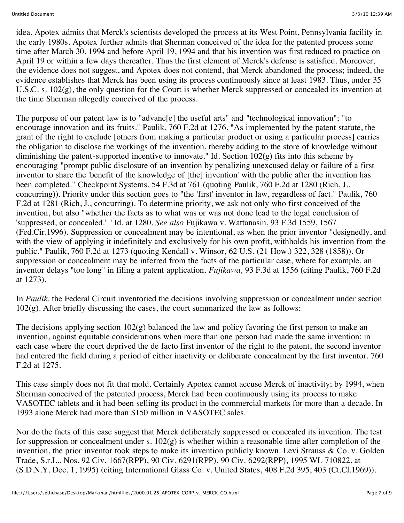idea. Apotex admits that Merck's scientists developed the process at its West Point, Pennsylvania facility in the early 1980s. Apotex further admits that Sherman conceived of the idea for the patented process some time after March 30, 1994 and before April 19, 1994 and that his invention was first reduced to practice on April 19 or within a few days thereafter. Thus the first element of Merck's defense is satisfied. Moreover, the evidence does not suggest, and Apotex does not contend, that Merck abandoned the process; indeed, the evidence establishes that Merck has been using its process continuously since at least 1983. Thus, under 35 U.S.C. s. 102(g), the only question for the Court is whether Merck suppressed or concealed its invention at the time Sherman allegedly conceived of the process.

The purpose of our patent law is to "advanc[e] the useful arts" and "technological innovation"; "to encourage innovation and its fruits." Paulik, 760 F.2d at 1276. "As implemented by the patent statute, the grant of the right to exclude [others from making a particular product or using a particular process] carries the obligation to disclose the workings of the invention, thereby adding to the store of knowledge without diminishing the patent-supported incentive to innovate." Id. Section 102(g) fits into this scheme by encouraging "prompt public disclosure of an invention by penalizing unexcused delay or failure of a first inventor to share the 'benefit of the knowledge of [the] invention' with the public after the invention has been completed." Checkpoint Systems, 54 F.3d at 761 (quoting Paulik, 760 F.2d at 1280 (Rich, J., concurring)). Priority under this section goes to "the 'first' inventor in law, regardless of fact." Paulik, 760 F.2d at 1281 (Rich, J., concurring). To determine priority, we ask not only who first conceived of the invention, but also "whether the facts as to what was or was not done lead to the legal conclusion of 'suppressed, or concealed." ' Id. at 1280. *See also* Fujikawa v. Wattanasin, 93 F.3d 1559, 1567 (Fed.Cir.1996). Suppression or concealment may be intentional, as when the prior inventor "designedly, and with the view of applying it indefinitely and exclusively for his own profit, withholds his invention from the public." Paulik, 760 F.2d at 1273 (quoting Kendall v. Winsor, 62 U.S. (21 How.) 322, 328 (1858)). Or suppression or concealment may be inferred from the facts of the particular case, where for example, an inventor delays "too long" in filing a patent application. *Fujikawa,* 93 F.3d at 1556 (citing Paulik, 760 F.2d at 1273).

In *Paulik,* the Federal Circuit inventoried the decisions involving suppression or concealment under section  $102(g)$ . After briefly discussing the cases, the court summarized the law as follows:

The decisions applying section  $102(g)$  balanced the law and policy favoring the first person to make an invention, against equitable considerations when more than one person had made the same invention: in each case where the court deprived the de facto first inventor of the right to the patent, the second inventor had entered the field during a period of either inactivity or deliberate concealment by the first inventor. 760 F.2d at 1275.

This case simply does not fit that mold. Certainly Apotex cannot accuse Merck of inactivity; by 1994, when Sherman conceived of the patented process, Merck had been continuously using its process to make VASOTEC tablets and it had been selling its product in the commercial markets for more than a decade. In 1993 alone Merck had more than \$150 million in VASOTEC sales.

Nor do the facts of this case suggest that Merck deliberately suppressed or concealed its invention. The test for suppression or concealment under s.  $102(g)$  is whether within a reasonable time after completion of the invention, the prior inventor took steps to make its invention publicly known. Levi Strauss & Co. v. Golden Trade, S.r.L., Nos. 92 Civ. 1667(RPP), 90 Civ. 6291(RPP), 90 Civ. 6292(RPP), 1995 WL 710822, at (S.D.N.Y. Dec. 1, 1995) (citing International Glass Co. v. United States, 408 F.2d 395, 403 (Ct.Cl.1969)).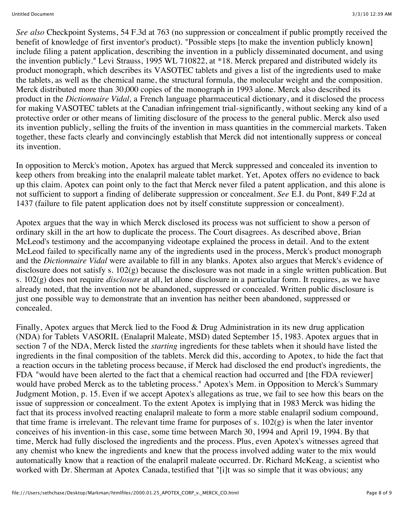*See also* Checkpoint Systems, 54 F.3d at 763 (no suppression or concealment if public promptly received the benefit of knowledge of first inventor's product). "Possible steps [to make the invention publicly known] include filing a patent application, describing the invention in a publicly disseminated document, and using the invention publicly." Levi Strauss, 1995 WL 710822, at \*18. Merck prepared and distributed widely its product monograph, which describes its VASOTEC tablets and gives a list of the ingredients used to make the tablets, as well as the chemical name, the structural formula, the molecular weight and the composition. Merck distributed more than 30,000 copies of the monograph in 1993 alone. Merck also described its product in the *Dictionnaire Vidal,* a French language pharmaceutical dictionary, and it disclosed the process for making VASOTEC tablets at the Canadian infringement trial-significantly, without seeking any kind of a protective order or other means of limiting disclosure of the process to the general public. Merck also used its invention publicly, selling the fruits of the invention in mass quantities in the commercial markets. Taken together, these facts clearly and convincingly establish that Merck did not intentionally suppress or conceal its invention.

In opposition to Merck's motion, Apotex has argued that Merck suppressed and concealed its invention to keep others from breaking into the enalapril maleate tablet market. Yet, Apotex offers no evidence to back up this claim. Apotex can point only to the fact that Merck never filed a patent application, and this alone is not sufficient to support a finding of deliberate suppression or concealment. *See* E.I. du Pont, 849 F.2d at 1437 (failure to file patent application does not by itself constitute suppression or concealment).

Apotex argues that the way in which Merck disclosed its process was not sufficient to show a person of ordinary skill in the art how to duplicate the process. The Court disagrees. As described above, Brian McLeod's testimony and the accompanying videotape explained the process in detail. And to the extent McLeod failed to specifically name any of the ingredients used in the process, Merck's product monograph and the *Dictionnaire Vidal* were available to fill in any blanks. Apotex also argues that Merck's evidence of disclosure does not satisfy s. 102(g) because the disclosure was not made in a single written publication. But s. 102(g) does not require *disclosure* at all, let alone disclosure in a particular form. It requires, as we have already noted, that the invention not be abandoned, suppressed or concealed. Written public disclosure is just one possible way to demonstrate that an invention has neither been abandoned, suppressed or concealed.

Finally, Apotex argues that Merck lied to the Food & Drug Administration in its new drug application (NDA) for Tablets VASORIL (Enalapril Maleate, MSD) dated September 15, 1983. Apotex argues that in section 7 of the NDA, Merck listed the *starting* ingredients for these tablets when it should have listed the ingredients in the final composition of the tablets. Merck did this, according to Apotex, to hide the fact that a reaction occurs in the tableting process because, if Merck had disclosed the end product's ingredients, the FDA "would have been alerted to the fact that a chemical reaction had occurred and [the FDA reviewer] would have probed Merck as to the tableting process." Apotex's Mem. in Opposition to Merck's Summary Judgment Motion, p. 15. Even if we accept Apotex's allegations as true, we fail to see how this bears on the issue of suppression or concealment. To the extent Apotex is implying that in 1983 Merck was hiding the fact that its process involved reacting enalapril maleate to form a more stable enalapril sodium compound, that time frame is irrelevant. The relevant time frame for purposes of s.  $102(g)$  is when the later inventor conceives of his invention-in this case, some time between March 30, 1994 and April 19, 1994. By that time, Merck had fully disclosed the ingredients and the process. Plus, even Apotex's witnesses agreed that any chemist who knew the ingredients and knew that the process involved adding water to the mix would automatically know that a reaction of the enalapril maleate occurred. Dr. Richard McKeag, a scientist who worked with Dr. Sherman at Apotex Canada, testified that "[i]t was so simple that it was obvious; any